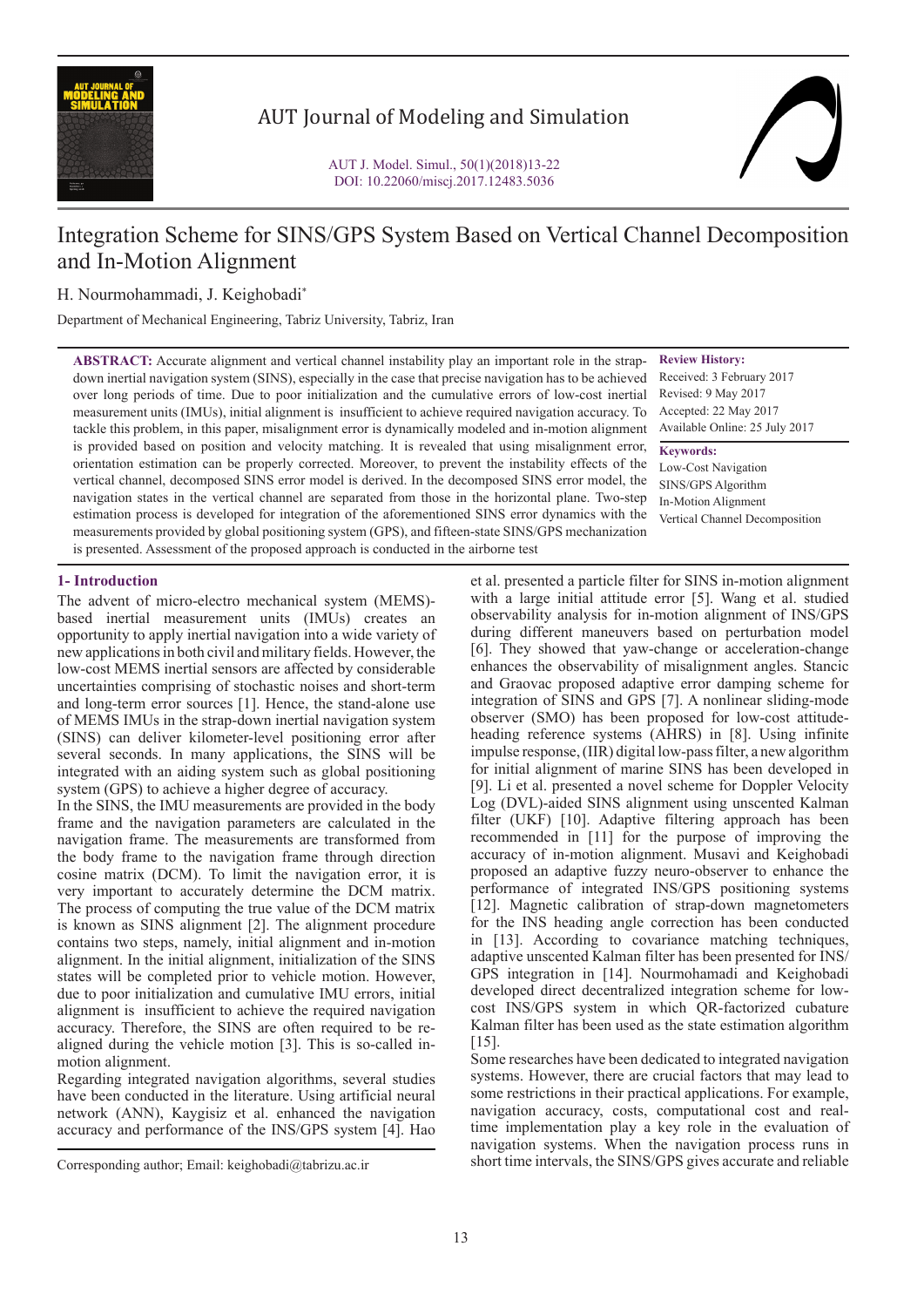

# AUT Journal of Modeling and Simulation

# Integration Scheme for SINS/GPS System Based on Vertical Channel Decomposition and In-Motion Alignment

# H. Nourmohammadi, J. Keighobadi\*

Department of Mechanical Engineering, Tabriz University, Tabriz, Iran

**ABSTRACT:** Accurate alignment and vertical channel instability play an important role in the strapdown inertial navigation system (SINS), especially in the case that precise navigation has to be achieved over long periods of time. Due to poor initialization and the cumulative errors of low-cost inertial measurement units (IMUs), initial alignment is insufficient to achieve required navigation accuracy. To tackle this problem, in this paper, misalignment error is dynamically modeled and in-motion alignment is provided based on position and velocity matching. It is revealed that using misalignment error, orientation estimation can be properly corrected. Moreover, to prevent the instability effects of the vertical channel, decomposed SINS error model is derived. In the decomposed SINS error model, the navigation states in the vertical channel are separated from those in the horizontal plane. Two-step estimation process is developed for integration of the aforementioned SINS error dynamics with the measurements provided by global positioning system (GPS), and fifteen-state SINS/GPS mechanization is presented. Assessment of the proposed approach is conducted in the airborne test

**Review History:**

Received: 3 February 2017 Revised: 9 May 2017 Accepted: 22 May 2017 Available Online: 25 July 2017

**Keywords:** Low-Cost Navigation SINS/GPS Algorithm In-Motion Alignment Vertical Channel Decomposition

# **1- Introduction**

The advent of micro-electro mechanical system (MEMS) based inertial measurement units (IMUs) creates an opportunity to apply inertial navigation into a wide variety of new applications in both civil and military fields. However, the low-cost MEMS inertial sensors are affected by considerable uncertainties comprising of stochastic noises and short-term and long-term error sources [1]. Hence, the stand-alone use of MEMS IMUs in the strap-down inertial navigation system (SINS) can deliver kilometer-level positioning error after several seconds. In many applications, the SINS will be integrated with an aiding system such as global positioning system (GPS) to achieve a higher degree of accuracy.

In the SINS, the IMU measurements are provided in the body frame and the navigation parameters are calculated in the navigation frame. The measurements are transformed from the body frame to the navigation frame through direction cosine matrix (DCM). To limit the navigation error, it is very important to accurately determine the DCM matrix. The process of computing the true value of the DCM matrix is known as SINS alignment [2]. The alignment procedure contains two steps, namely, initial alignment and in-motion alignment. In the initial alignment, initialization of the SINS states will be completed prior to vehicle motion. However, due to poor initialization and cumulative IMU errors, initial alignment is insufficient to achieve the required navigation accuracy. Therefore, the SINS are often required to be realigned during the vehicle motion [3]. This is so-called inmotion alignment.

Regarding integrated navigation algorithms, several studies have been conducted in the literature. Using artificial neural network (ANN), Kaygisiz et al. enhanced the navigation accuracy and performance of the INS/GPS system [4]. Hao

et al. presented a particle filter for SINS in-motion alignment with a large initial attitude error [5]. Wang et al. studied observability analysis for in-motion alignment of INS/GPS during different maneuvers based on perturbation model [6]. They showed that yaw-change or acceleration-change enhances the observability of misalignment angles. Stancic and Graovac proposed adaptive error damping scheme for integration of SINS and GPS [7]. A nonlinear sliding-mode observer (SMO) has been proposed for low-cost attitudeheading reference systems (AHRS) in [8]. Using infinite impulse response, (IIR) digital low-pass filter, a new algorithm for initial alignment of marine SINS has been developed in [9]. Li et al. presented a novel scheme for Doppler Velocity Log (DVL)-aided SINS alignment using unscented Kalman filter (UKF) [10]. Adaptive filtering approach has been recommended in [11] for the purpose of improving the accuracy of in-motion alignment. Musavi and Keighobadi proposed an adaptive fuzzy neuro-observer to enhance the performance of integrated INS/GPS positioning systems [12]. Magnetic calibration of strap-down magnetometers for the INS heading angle correction has been conducted in [13]. According to covariance matching techniques, adaptive unscented Kalman filter has been presented for INS/ GPS integration in [14]. Nourmohamadi and Keighobadi developed direct decentralized integration scheme for lowcost INS/GPS system in which QR-factorized cubature Kalman filter has been used as the state estimation algorithm  $[15]$ .

Some researches have been dedicated to integrated navigation systems. However, there are crucial factors that may lead to some restrictions in their practical applications. For example, navigation accuracy, costs, computational cost and realtime implementation play a key role in the evaluation of navigation systems. When the navigation process runs in short time intervals, the SINS/GPS gives accurate and reliable

Corresponding author; Email: keighobadi@tabrizu.ac.ir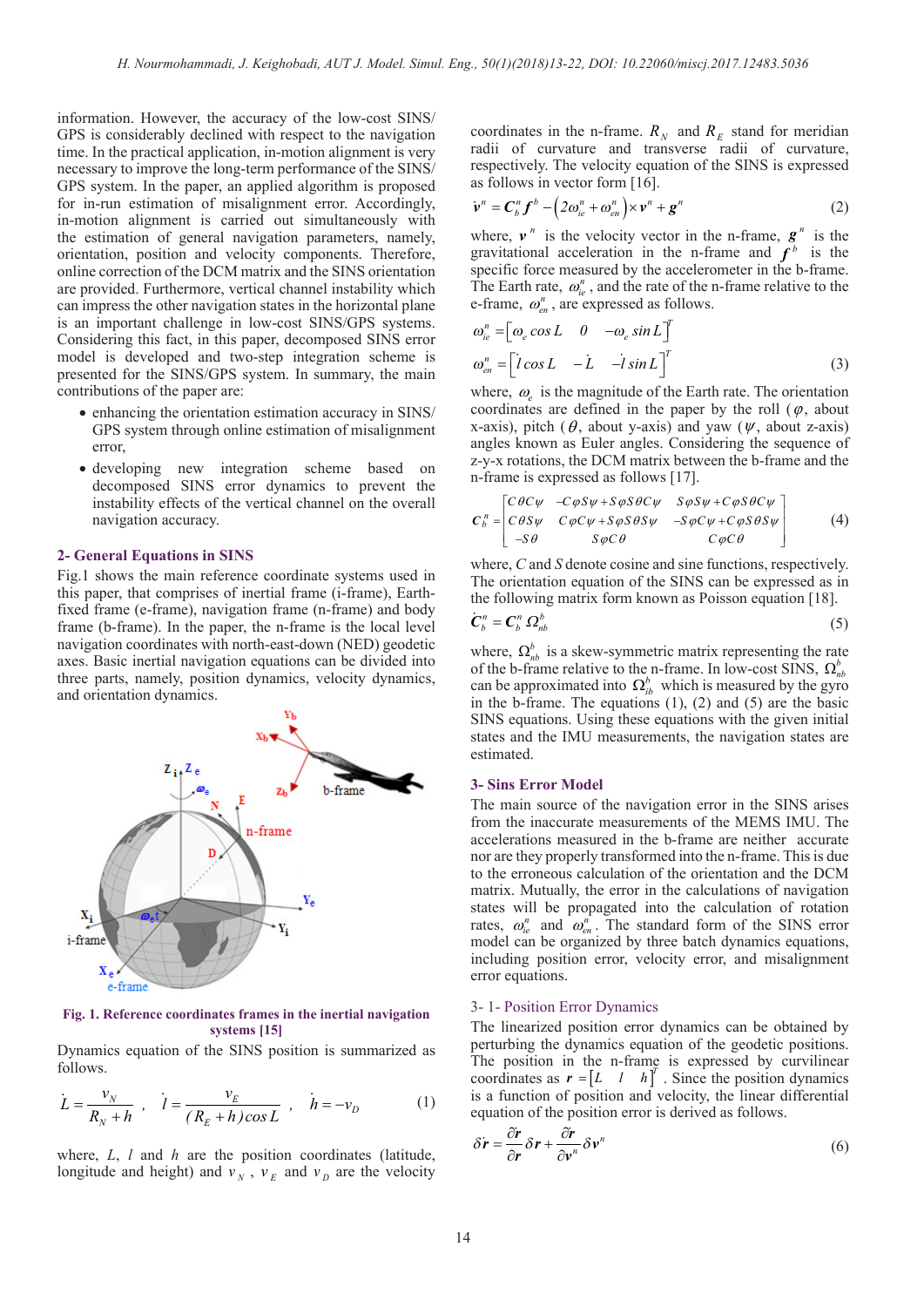information. However, the accuracy of the low-cost SINS/ GPS is considerably declined with respect to the navigation time. In the practical application, in-motion alignment is very necessary to improve the long-term performance of the SINS/ GPS system. In the paper, an applied algorithm is proposed for in-run estimation of misalignment error. Accordingly, in-motion alignment is carried out simultaneously with the estimation of general navigation parameters, namely, orientation, position and velocity components. Therefore, online correction of the DCM matrix and the SINS orientation are provided. Furthermore, vertical channel instability which can impress the other navigation states in the horizontal plane is an important challenge in low-cost SINS/GPS systems. Considering this fact, in this paper, decomposed SINS error model is developed and two-step integration scheme is presented for the SINS/GPS system. In summary, the main contributions of the paper are:

- enhancing the orientation estimation accuracy in SINS/ GPS system through online estimation of misalignment error,
- • developing new integration scheme based on decomposed SINS error dynamics to prevent the instability effects of the vertical channel on the overall navigation accuracy.

#### **2- General Equations in SINS**

Fig.1 shows the main reference coordinate systems used in this paper, that comprises of inertial frame (i-frame), Earthfixed frame (e-frame), navigation frame (n-frame) and body frame (b-frame). In the paper, the n-frame is the local level navigation coordinates with north-east-down (NED) geodetic axes. Basic inertial navigation equations can be divided into three parts, namely, position dynamics, velocity dynamics, and orientation dynamics.



**Fig. 1. Reference coordinates frames in the inertial navigation systems [15]**

Dynamics equation of the SINS position is summarized as follows.

$$
\dot{L} = \frac{v_N}{R_N + h} , \quad \dot{l} = \frac{v_E}{(R_E + h)\cos L} , \quad \dot{h} = -v_D
$$
 (1)

where, *L*, *l* and *h* are the position coordinates (latitude, longitude and height) and  $v_N$ ,  $v_E$  and  $v_D$  are the velocity coordinates in the n-frame.  $R_N$  and  $R_E$  stand for meridian radii of curvature and transverse radii of curvature, respectively. The velocity equation of the SINS is expressed as follows in vector form [16].

$$
\dot{\mathbf{v}}^{n} = \mathbf{C}_{b}^{n} \mathbf{f}^{b} - \left(2\omega_{ie}^{n} + \omega_{en}^{n}\right) \times \mathbf{v}^{n} + \mathbf{g}^{n}
$$
 (2)

where,  $v^n$  is the velocity vector in the n-frame,  $g^n$  is the gravitational acceleration in the n-frame and  $f<sup>b</sup>$  is the specific force measured by the accelerometer in the b-frame. The Earth rate,  $\omega_{ie}^n$ , and the rate of the n-frame relative to the e-frame,  $\omega_{en}^{n}$ , are expressed as follows.

$$
\omega_{ie}^{n} = \begin{bmatrix} \omega_e \cos L & 0 & -\omega_e \sin L \end{bmatrix}^T
$$
  

$$
\omega_{en}^{n} = \begin{bmatrix} \dot{l} \cos L & -\dot{L} & -\dot{l} \sin L \end{bmatrix}^T
$$
 (3)

where,  $\omega_e$  is the magnitude of the Earth rate. The orientation coordinates are defined in the paper by the roll  $(φ, about)$ x-axis), pitch ( $\theta$ , about y-axis) and yaw ( $\psi$ , about z-axis) angles known as Euler angles. Considering the sequence of z-y-x rotations, the DCM matrix between the b-frame and the n-frame is expressed as follows [17].

$$
C_b^n = \begin{bmatrix} C\theta C\psi & -C\varphi S\psi + S\varphi S\theta C\psi & S\varphi S\psi + C\varphi S\theta C\psi \\ C\theta S\psi & C\varphi C\psi + S\varphi S\theta S\psi & -S\varphi C\psi + C\varphi S\theta S\psi \\ -S\theta & S\varphi C\theta & C\varphi C\theta \end{bmatrix} (4)
$$

where, *C* and *S* denote cosine and sine functions, respectively. The orientation equation of the SINS can be expressed as in the following matrix form known as Poisson equation [18].

$$
\dot{C}_b^n = C_b^n \Omega_{nb}^b \tag{5}
$$

where,  $\Omega_{nb}^{b}$  is a skew-symmetric matrix representing the rate of the b-frame relative to the n-frame. In low-cost SINS,  $\Omega_{nb}^{b}$ can be approximated into  $\Omega_{ib}^b$  which is measured by the gyro in the b-frame. The equations (1), (2) and (5) are the basic SINS equations. Using these equations with the given initial states and the IMU measurements, the navigation states are estimated.

#### **3- Sins Error Model**

The main source of the navigation error in the SINS arises from the inaccurate measurements of the MEMS IMU. The accelerations measured in the b-frame are neither accurate nor are they properly transformed into the n-frame. This is due to the erroneous calculation of the orientation and the DCM matrix. Mutually, the error in the calculations of navigation states will be propagated into the calculation of rotation rates,  $\omega_{ie}^n$  and  $\omega_{en}^n$ . The standard form of the SINS error model can be organized by three batch dynamics equations, including position error, velocity error, and misalignment error equations.

### 3- 1- Position Error Dynamics

The linearized position error dynamics can be obtained by perturbing the dynamics equation of the geodetic positions. The position in the n-frame is expressed by curvilinear coordinates as  $\mathbf{r} = \begin{bmatrix} L & l & h \end{bmatrix}^T$ . Since the position dynamics is a function of position and velocity, the linear differential equation of the position error is derived as follows.

$$
\delta \dot{\mathbf{r}} = \frac{\partial \dot{\mathbf{r}}}{\partial \mathbf{r}} \delta \mathbf{r} + \frac{\partial \dot{\mathbf{r}}}{\partial \mathbf{v}^n} \delta \mathbf{v}^n
$$
 (6)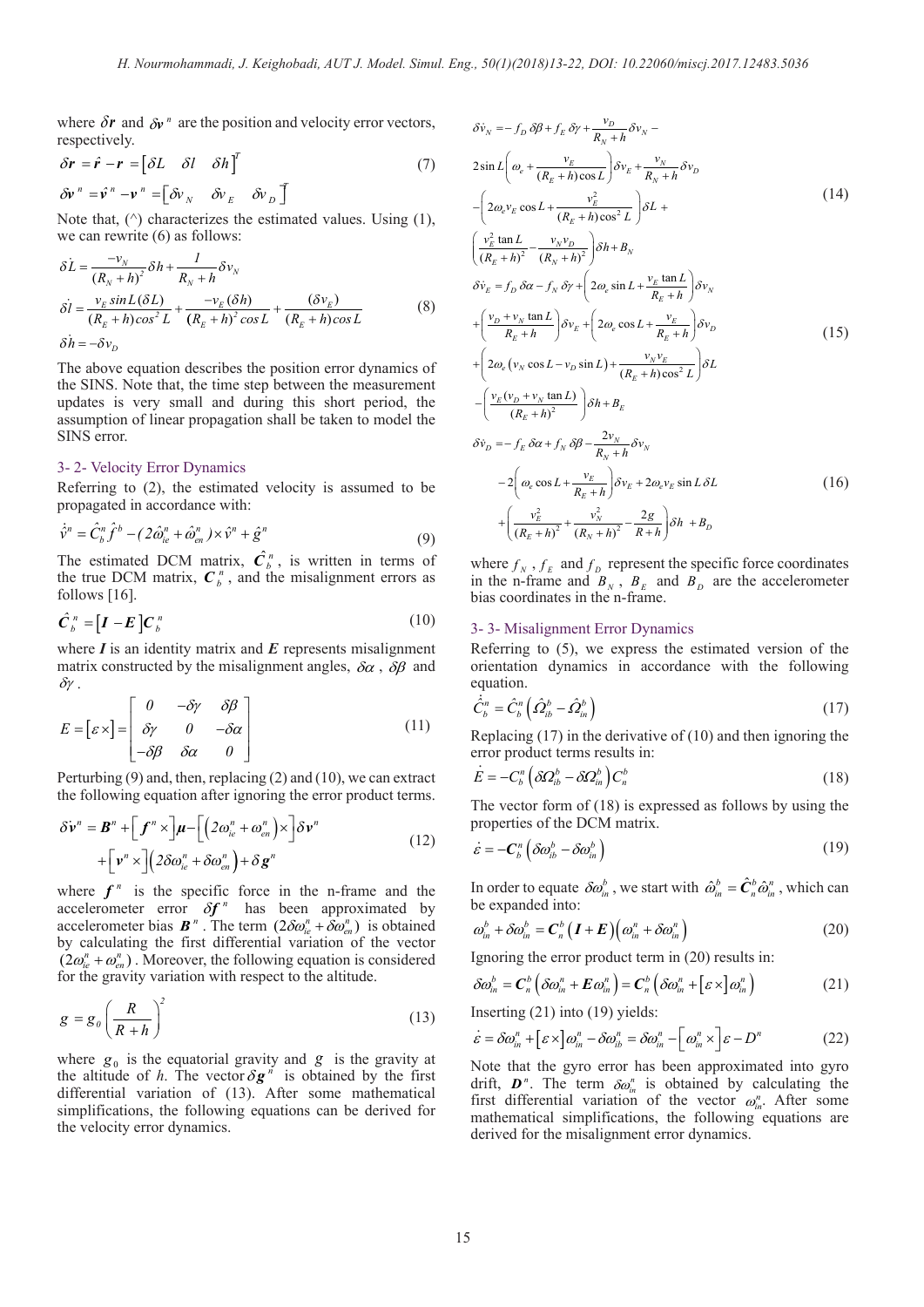where  $\delta r$  and  $\delta v$ <sup>n</sup> are the position and velocity error vectors, respectively.

$$
\delta \mathbf{r} = \hat{\mathbf{r}} - \mathbf{r} = \begin{bmatrix} \delta L & \delta l & \delta h \end{bmatrix}^T
$$
  
\n
$$
\delta \mathbf{v}^n = \hat{\mathbf{v}}^n - \mathbf{v}^n = \begin{bmatrix} \delta v_N & \delta v_E & \delta v_D \end{bmatrix}^T
$$
 (7)

Note that,  $(^{\wedge})$  characterizes the estimated values. Using  $(1)$ , we can rewrite (6) as follows:

$$
\delta L = \frac{-v_N}{(R_N + h)^2} \delta h + \frac{1}{R_N + h} \delta v_N
$$
  
\n
$$
\delta l = \frac{v_E \sin L(\delta L)}{(R_E + h)\cos^2 L} + \frac{-v_E(\delta h)}{(R_E + h)^2 \cos L} + \frac{(\delta v_E)}{(R_E + h)\cos L}
$$
 (8)

 $\delta \dot{h} = -\delta v_D$ 

The above equation describes the position error dynamics of the SINS. Note that, the time step between the measurement updates is very small and during this short period, the assumption of linear propagation shall be taken to model the SINS error.

#### 3- 2- Velocity Error Dynamics

Referring to (2), the estimated velocity is assumed to be propagated in accordance with:

$$
\dot{\hat{\mathbf{v}}}^{n} = \hat{C}_{b}^{n} \hat{f}^{b} - (2\hat{\omega}_{ie}^{n} + \hat{\omega}_{en}^{n}) \times \hat{\mathbf{v}}^{n} + \hat{\mathbf{g}}^{n}
$$
(9)

The estimated DCM matrix,  $\hat{C}_b^{\,n}$ , is written in terms of the true DCM matrix,  $C_b^{\,n}$ , and the misalignment errors as follows [16].

$$
\hat{C}_b^{\ n} = [I - E] C_b^{\ n} \tag{10}
$$

where *I* is an identity matrix and *E* represents misalignment matrix constructed by the misalignment angles,  $\delta \alpha$ ,  $\delta \beta$  and δγ .

$$
E = [\varepsilon \times ] = \begin{bmatrix} 0 & -\delta \gamma & \delta \beta \\ \delta \gamma & 0 & -\delta \alpha \\ -\delta \beta & \delta \alpha & 0 \end{bmatrix}
$$
 (11)

Perturbing (9) and, then, replacing (2) and (10), we can extract the following equation after ignoring the error product terms.

$$
\delta \mathbf{v}^{n} = \mathbf{B}^{n} + \left[ \mathbf{f}^{n} \times \right] \mathbf{\mu} - \left[ \left( 2\omega_{ie}^{n} + \omega_{en}^{n} \right) \times \right] \delta \mathbf{v}^{n} + \left[ \mathbf{v}^{n} \times \right] \left( 2\delta \omega_{ie}^{n} + \delta \omega_{en}^{n} \right) + \delta \mathbf{g}^{n}
$$
\n(12)

where  $f^n$  is the specific force in the n-frame and the accelerometer error  $\delta f^n$  has been approximated by accelerometer bias  $\mathbf{B}^n$ . The term  $(2\delta \omega_{ie}^n + \delta \omega_{en}^n)$  is obtained by calculating the first differential variation of the vector  $(2\omega_{i}^{n} + \omega_{i}^{n})$ . Moreover, the following equation is considered for the gravity variation with respect to the altitude.

$$
g = g_0 \left(\frac{R}{R+h}\right)^2 \tag{13}
$$

where  $g_0$  is the equatorial gravity and  $g$  is the gravity at the altitude of *h*. The vector  $\delta g^{n}$  is obtained by the first differential variation of (13). After some mathematical simplifications, the following equations can be derived for the velocity error dynamics.

$$
\delta \dot{v}_N = -f_D \delta \beta + f_E \delta \gamma + \frac{v_D}{R_N + h} \delta v_N -
$$
  
\n
$$
2 \sin L \left( \omega_e + \frac{v_E}{(R_E + h) \cos L} \right) \delta v_E + \frac{v_N}{R_N + h} \delta v_D
$$
  
\n
$$
- \left( 2 \omega_e v_E \cos L + \frac{v_E^2}{(R_E + h) \cos^2 L} \right) \delta L +
$$
  
\n
$$
\left( \frac{v_E^2 \tan L}{(R_E + h)^2} - \frac{v_N v_D}{(R_N + h)^2} \right) \delta h + B_N
$$
  
\n
$$
\delta \dot{v}_E = f_D \delta \alpha - f_N \delta \gamma + \left( 2 \omega_e \sin L + \frac{v_E \tan L}{R_E + h} \right) \delta v_N
$$
  
\n
$$
+ \left( \frac{v_D + v_N \tan L}{R_E + h} \right) \delta v_E + \left( 2 \omega_e \cos L + \frac{v_E}{R_E + h} \right) \delta v_D
$$
  
\n
$$
+ \left( 2 \omega_e (v_N \cos L - v_D \sin L) + \frac{v_N v_E}{(R_E + h) \cos^2 L} \right) \delta L
$$
  
\n
$$
- \left( \frac{v_E (v_D + v_N \tan L)}{(R_E + h)^2} \right) \delta h + B_E
$$
  
\n
$$
\delta \dot{v}_D = -f_E \delta \alpha + f_N \delta \beta - \frac{2v_N}{R_N + h} \delta v_N
$$
  
\n
$$
-2 \left( \omega_e \cos L + \frac{v_E}{R_E + h} \right) \delta v_E + 2 \omega_e v_E \sin L \delta L
$$
  
\n
$$
+ \left( \frac{v_E^2}{(R_E + h)^2} + \frac{v_N^2}{(R_N + h)^2} - \frac{2g}{R + h} \right) \delta h + B_D
$$
  
\n(16)

where  $f_N$ ,  $f_E$  and  $f_D$  represent the specific force coordinates in the n-frame and  $B_N$ ,  $B_E$  and  $B_D$  are the accelerometer bias coordinates in the n-frame.

### 3- 3- Misalignment Error Dynamics

 $\frac{v_N^2}{2} + \frac{v_N^2}{(R_1 + h)^2} - \frac{2}{R_2}$ 

Referring to (5), we express the estimated version of the orientation dynamics in accordance with the following equation. .

$$
\dot{\hat{C}}_b^n = \hat{C}_b^n \left( \hat{\Omega}_{ib}^b - \hat{\Omega}_{in}^b \right)
$$
 (17)

Replacing  $(17)$  in the derivative of  $(10)$  and then ignoring the error product terms results in: .

$$
E = -C_b^n \left( \delta \Omega_{ib}^b - \delta \Omega_{in}^b \right) C_n^b \tag{18}
$$

The vector form of (18) is expressed as follows by using the properties of the DCM matrix.

$$
\dot{\varepsilon} = -C_b^n \left( \delta \omega_{ib}^b - \delta \omega_{in}^b \right) \tag{19}
$$

In order to equate  $\delta \omega_m^b$ , we start with  $\hat{\omega}_m^b = \hat{C}_n^b \hat{\omega}_m^n$ , which can be expanded into:

$$
\omega_m^b + \delta \omega_m^b = \mathbf{C}_n^b \left( \mathbf{I} + \mathbf{E} \right) \left( \omega_m^n + \delta \omega_m^n \right) \tag{20}
$$

Ignoring the error product term in (20) results in:

$$
\delta \omega_{in}^{b} = \mathbf{C}_{n}^{b} \left( \delta \omega_{in}^{n} + \mathbf{E} \omega_{in}^{n} \right) = \mathbf{C}_{n}^{b} \left( \delta \omega_{in}^{n} + \left[ \varepsilon \times \right] \omega_{in}^{n} \right)
$$
 (21)

Inserting (21) into (19) yields:

$$
\varepsilon = \delta \omega_{in}^{n} + \left[ \varepsilon \times \right] \omega_{in}^{n} - \delta \omega_{ib}^{n} = \delta \omega_{in}^{n} - \left[ \omega_{in}^{n} \times \right] \varepsilon - D^{n}
$$
 (22)

Note that the gyro error has been approximated into gyro drift,  $\boldsymbol{D}^n$ . The term  $\delta \omega_m^n$  is obtained by calculating the first differential variation of the vector  $\omega_{\omega}^n$ . After some mathematical simplifications, the following equations are derived for the misalignment error dynamics.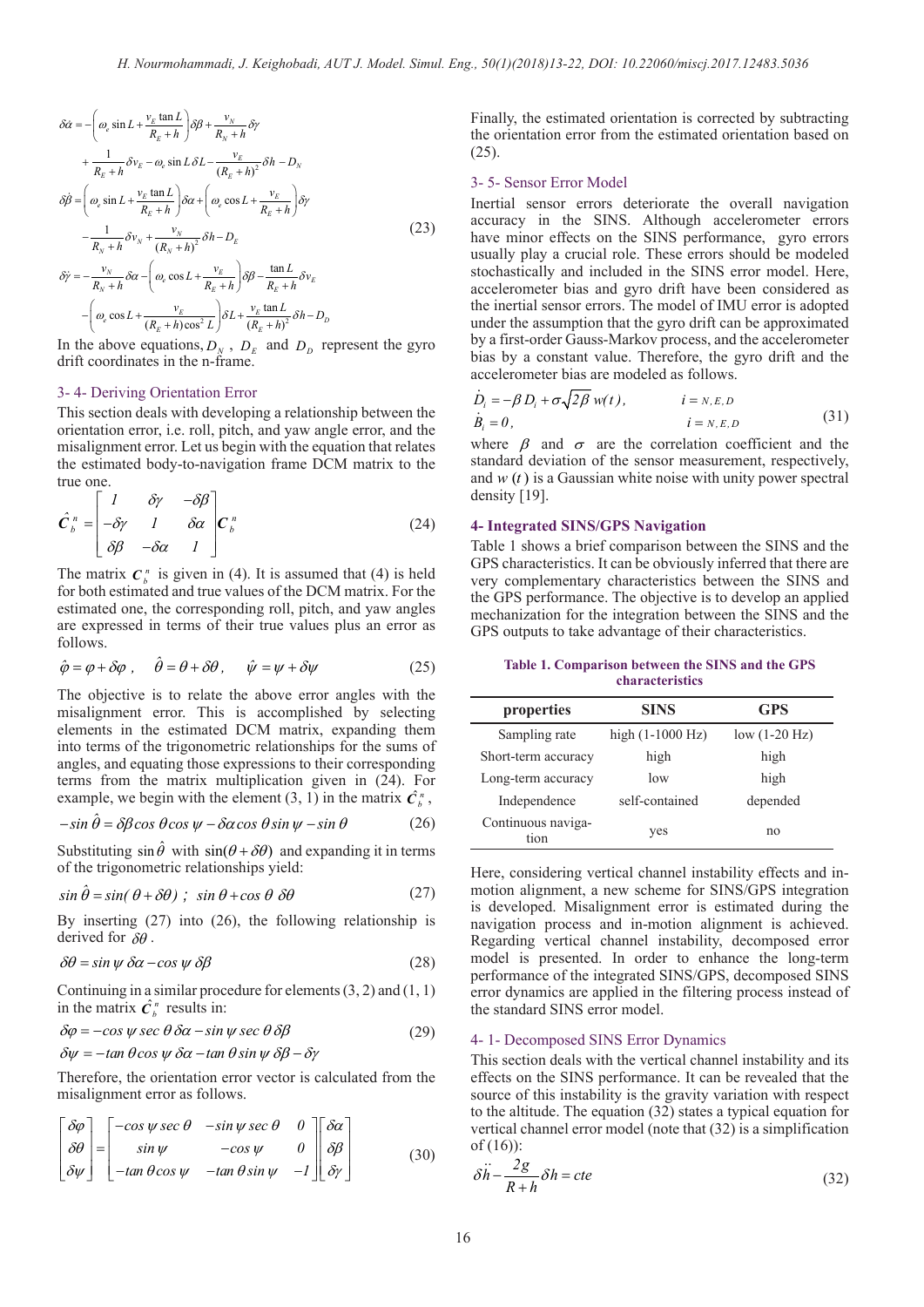$$
\delta \dot{\alpha} = -\left(\omega_e \sin L + \frac{v_E \tan L}{R_E + h}\right) \delta \beta + \frac{v_N}{R_N + h} \delta \gamma \n+ \frac{1}{R_E + h} \delta v_E - \omega_e \sin L \delta L - \frac{v_E}{(R_E + h)^2} \delta h - D_N \n\delta \dot{\beta} = \left(\omega_e \sin L + \frac{v_E \tan L}{R_E + h}\right) \delta \alpha + \left(\omega_e \cos L + \frac{v_E}{R_E + h}\right) \delta \gamma \n- \frac{1}{R_N + h} \delta v_N + \frac{v_N}{(R_N + h)^2} \delta h - D_E \n\delta \dot{\gamma} = -\frac{v_N}{R_N + h} \delta \alpha - \left(\omega_e \cos L + \frac{v_E}{R_E + h}\right) \delta \beta - \frac{\tan L}{R_E + h} \delta v_E \n- \left(\omega_e \cos L + \frac{v_E}{(R_E + h) \cos^2 L}\right) \delta L + \frac{v_E \tan L}{(R_E + h)^2} \delta h - D_D
$$
\n(23)

In the above equations,  $D_N$ ,  $D_E$  and  $D_D$  represent the gyro drift coordinates in the n-frame.

#### 3- 4- Deriving Orientation Error

This section deals with developing a relationship between the orientation error, i.e. roll, pitch, and yaw angle error, and the misalignment error. Let us begin with the equation that relates the estimated body-to-navigation frame DCM matrix to the true one.

$$
\hat{C}_{b}^{n} = \begin{bmatrix} 1 & \delta \gamma & -\delta \beta \\ -\delta \gamma & 1 & \delta \alpha \\ \delta \beta & -\delta \alpha & 1 \end{bmatrix} C_{b}^{n}
$$
\n(24)

The matrix  $C_h^n$  is given in (4). It is assumed that (4) is held for both estimated and true values of the DCM matrix. For the estimated one, the corresponding roll, pitch, and yaw angles are expressed in terms of their true values plus an error as follows.

$$
\hat{\varphi} = \varphi + \delta\varphi \ , \quad \hat{\theta} = \theta + \delta\theta \ , \quad \hat{\psi} = \psi + \delta\psi \tag{25}
$$

The objective is to relate the above error angles with the misalignment error. This is accomplished by selecting elements in the estimated DCM matrix, expanding them into terms of the trigonometric relationships for the sums of angles, and equating those expressions to their corresponding terms from the matrix multiplication given in (24). For example, we begin with the element (3, 1) in the matrix  $\hat{C}_b^n$ ,

$$
-\sin\hat{\theta} = \delta\beta\cos\theta\cos\psi - \delta\alpha\cos\theta\sin\psi - \sin\theta\tag{26}
$$

Substituting  $\sin \hat{\theta}$  with  $\sin(\theta + \delta \theta)$  and expanding it in terms of the trigonometric relationships yield:

$$
\sin \hat{\theta} = \sin(\theta + \delta\theta) \; ; \; \sin \theta + \cos \theta \; \delta\theta \tag{27}
$$

By inserting (27) into (26), the following relationship is derived for  $\delta\theta$ .

$$
\delta\theta = \sin\psi \,\delta\alpha - \cos\psi \,\delta\beta \tag{28}
$$

Continuing in a similar procedure for elements  $(3, 2)$  and  $(1, 1)$ in the matrix  $\hat{C}_b^n$  results in:

$$
\delta \varphi = -\cos \psi \sec \theta \, \delta \alpha - \sin \psi \sec \theta \, \delta \beta
$$
  
 
$$
\delta \psi = -\tan \theta \cos \psi \, \delta \alpha - \tan \theta \sin \psi \, \delta \beta - \delta \gamma
$$
 (29)

Therefore, the orientation error vector is calculated from the misalignment error as follows.

$$
\begin{bmatrix} \delta \varphi \\ \delta \theta \\ \delta \psi \end{bmatrix} = \begin{bmatrix} -\cos \psi \sec \theta & -\sin \psi \sec \theta & 0 \\ \sin \psi & -\cos \psi & 0 \\ -\tan \theta \cos \psi & -\tan \theta \sin \psi & -1 \end{bmatrix} \begin{bmatrix} \delta \alpha \\ \delta \beta \\ \delta \gamma \end{bmatrix}
$$
(30)

Finally, the estimated orientation is corrected by subtracting the orientation error from the estimated orientation based on  $(25)$ .

#### 3- 5- Sensor Error Model

Inertial sensor errors deteriorate the overall navigation accuracy in the SINS. Although accelerometer errors have minor effects on the SINS performance, gyro errors usually play a crucial role. These errors should be modeled stochastically and included in the SINS error model. Here, accelerometer bias and gyro drift have been considered as the inertial sensor errors. The model of IMU error is adopted under the assumption that the gyro drift can be approximated by a first-order Gauss-Markov process, and the accelerometer bias by a constant value. Therefore, the gyro drift and the accelerometer bias are modeled as follows.

$$
\dot{D}_i = -\beta D_i + \sigma \sqrt{2\beta} w(t), \qquad i = N.E, D
$$
\n
$$
\dot{B}_i = 0, \qquad i = N.E, D \qquad (31)
$$

where  $\beta$  and  $\sigma$  are the correlation coefficient and the standard deviation of the sensor measurement, respectively, and  $w(t)$  is a Gaussian white noise with unity power spectral density [19].

#### **4- Integrated SINS/GPS Navigation**

Table 1 shows a brief comparison between the SINS and the GPS characteristics. It can be obviously inferred that there are very complementary characteristics between the SINS and the GPS performance. The objective is to develop an applied mechanization for the integration between the SINS and the GPS outputs to take advantage of their characteristics.

| Table 1. Comparison between the SINS and the GPS |                        |  |  |  |
|--------------------------------------------------|------------------------|--|--|--|
|                                                  | <b>characteristics</b> |  |  |  |

| properties                 | <b>SINS</b>                | <b>GPS</b>      |
|----------------------------|----------------------------|-----------------|
| Sampling rate              | high $(1-1000 \text{ Hz})$ | $low (1-20 Hz)$ |
| Short-term accuracy        | high                       | high            |
| Long-term accuracy         | low                        | high            |
| Independence               | self-contained             | depended        |
| Continuous naviga-<br>tion | yes                        | no              |

Here, considering vertical channel instability effects and inmotion alignment, a new scheme for SINS/GPS integration is developed. Misalignment error is estimated during the navigation process and in-motion alignment is achieved. Regarding vertical channel instability, decomposed error model is presented. In order to enhance the long-term performance of the integrated SINS/GPS, decomposed SINS error dynamics are applied in the filtering process instead of the standard SINS error model.

#### 4- 1- Decomposed SINS Error Dynamics

This section deals with the vertical channel instability and its effects on the SINS performance. It can be revealed that the source of this instability is the gravity variation with respect to the altitude. The equation (32) states a typical equation for vertical channel error model (note that (32) is a simplification of (16)):

$$
\delta \ddot{h} - \frac{2g}{R+h} \delta h = cte
$$
 (32)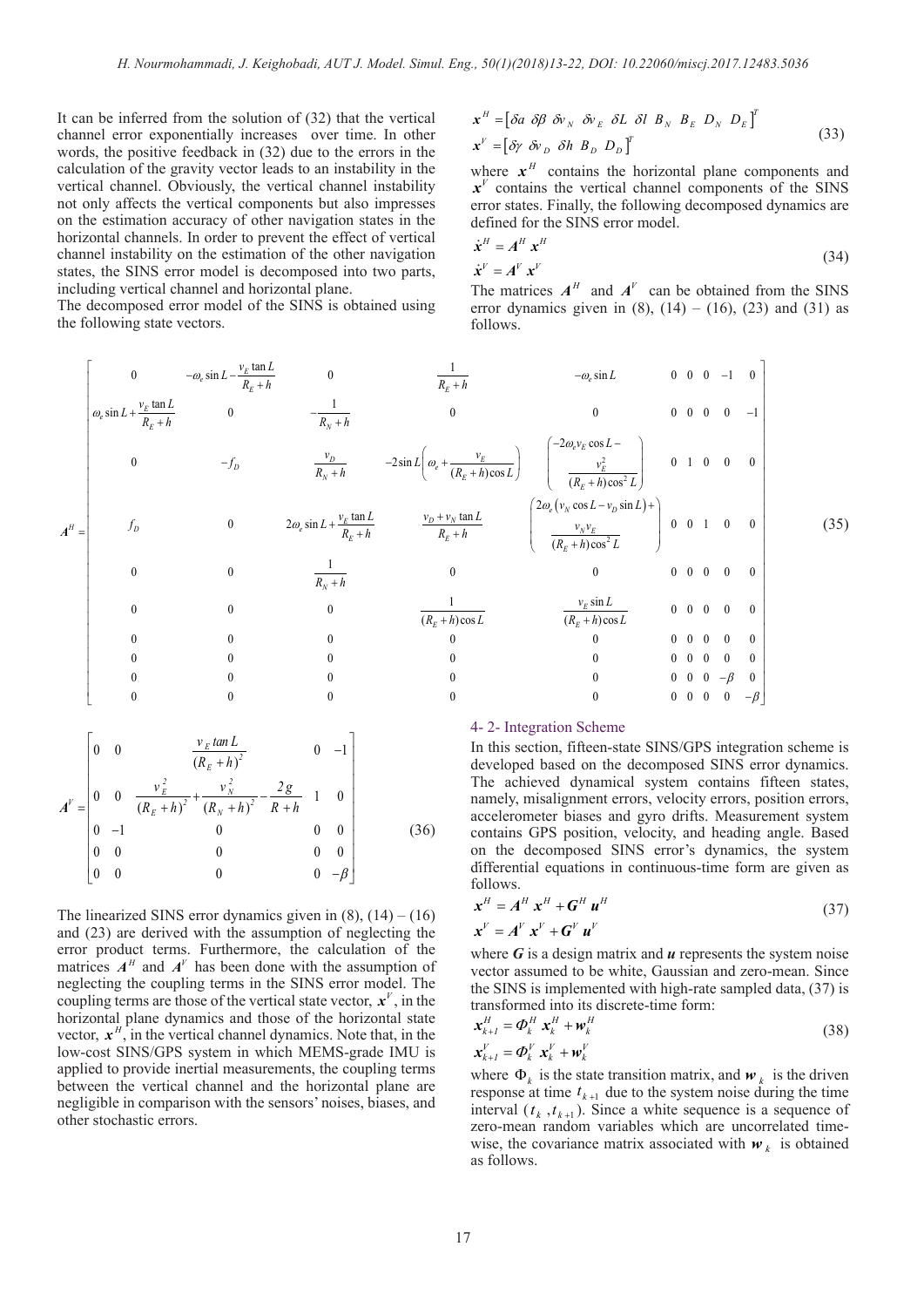It can be inferred from the solution of (32) that the vertical channel error exponentially increases over time. In other words, the positive feedback in (32) due to the errors in the calculation of the gravity vector leads to an instability in the vertical channel. Obviously, the vertical channel instability not only affects the vertical components but also impresses on the estimation accuracy of other navigation states in the horizontal channels. In order to prevent the effect of vertical channel instability on the estimation of the other navigation states, the SINS error model is decomposed into two parts, including vertical channel and horizontal plane.

The decomposed error model of the SINS is obtained using the following state vectors.

$$
\mathbf{x}^{H} = \begin{bmatrix} \delta a & \delta \beta & \delta v_{N} & \delta v_{E} & \delta L & \delta l & B_{N} & B_{E} & D_{N} & D_{E} \end{bmatrix}^{T}
$$
  

$$
\mathbf{x}^{V} = \begin{bmatrix} \delta \gamma & \delta v_{D} & \delta h & B_{D} & D_{D} \end{bmatrix}^{T}
$$
 (33)

where  $x^H$  contains the horizontal plane components and  $x^V$  contains the vertical channel components of the SINS error states. Finally, the following decomposed dynamics are defined for the SINS error model.

$$
\dot{\mathbf{x}}^{H} = \mathbf{A}^{H} \mathbf{x}^{H}
$$
\n
$$
\dot{\mathbf{x}}^{V} = \mathbf{A}^{V} \mathbf{x}^{V}
$$
\n(34)

The matrices  $A^H$  and  $A^V$  can be obtained from the SINS error dynamics given in  $(8)$ ,  $(14) - (16)$ ,  $(23)$  and  $(31)$  as follows.

$$
A^{H} = \begin{bmatrix}\n0 & -\omega_{e} \sin L - \frac{v_{E} \tan L}{R_{E} + h} & 0 & \frac{1}{R_{E} + h} & -\omega_{e} \sin L & 0 & 0 & 0 & -1 & 0 \\
\omega_{e} \sin L + \frac{v_{E} \tan L}{R_{E} + h} & 0 & -\frac{1}{R_{N} + h} & 0 & 0 & 0 & 0 & 0 & -1 \\
0 & -f_{D} & \frac{v_{D}}{R_{N} + h} & -2 \sin L \left(\omega_{e} + \frac{v_{E}}{(R_{E} + h) \cos L}\right) & \frac{-2\omega_{e}v_{E} \cos L - \omega_{e}^{2}}{(R_{E} + h) \cos^{2} L}\right) & 0 & 1 & 0 & 0 & 0 \\
0 & 0 & 2\omega_{e} \sin L + \frac{v_{E} \tan L}{R_{E} + h} & \frac{v_{D} + v_{N} \tan L}{R_{E} + h} & \frac{2\omega_{e} (v_{N} \cos L - v_{D} \sin L) + \omega_{e}^{2}}{(R_{E} + h) \cos^{2} L} & 0 & 0 & 1 & 0 & 0 \\
0 & 0 & \frac{1}{R_{N} + h} & 0 & 0 & 0 & 0 & 0 & 0 \\
0 & 0 & 0 & \frac{1}{(R_{E} + h) \cos L} & \frac{v_{E} \sin L}{(R_{E} + h) \cos^{2} L} & 0 & 0 & 0 & 0 & 0 \\
0 & 0 & 0 & 0 & 0 & 0 & 0 & 0 & 0 \\
0 & 0 & 0 & 0 & 0 & 0 & 0 & 0 & 0\n\end{bmatrix}
$$
(35)

0 0 0 0 0 000 0 − β 0 0 0 0 0 000 0

 $\begin{bmatrix} 0 & 0 & 0 \end{bmatrix}$   $\begin{bmatrix} 0 & 0 & 0 \end{bmatrix}$   $\begin{bmatrix} 0 & 0 & 0 \end{bmatrix}$   $\begin{bmatrix} 0 & 0 & 0 \end{bmatrix}$ 

$$
A^{V} = \begin{bmatrix} 0 & 0 & \frac{v_{E} \tan L}{(R_{E} + h)^{2}} & 0 & -1 \\ 0 & 0 & \frac{v_{E}^{2}}{(R_{E} + h)^{2}} + \frac{v_{N}^{2}}{(R_{N} + h)^{2}} - \frac{2g}{R + h} & 1 & 0 \\ 0 & -1 & 0 & 0 & 0 \\ 0 & 0 & 0 & 0 & 0 \\ 0 & 0 & 0 & 0 & -\beta \end{bmatrix}
$$
(36)

The linearized SINS error dynamics given in  $(8)$ ,  $(14) - (16)$ and (23) are derived with the assumption of neglecting the error product terms. Furthermore, the calculation of the matrices  $A<sup>H</sup>$  and  $A<sup>V</sup>$  has been done with the assumption of neglecting the coupling terms in the SINS error model. The coupling terms are those of the vertical state vector,  $\mathbf{x}^V$ , in the horizontal plane dynamics and those of the horizontal state vector,  $x^H$ , in the vertical channel dynamics. Note that, in the low-cost SINS/GPS system in which MEMS-grade IMU is applied to provide inertial measurements, the coupling terms between the vertical channel and the horizontal plane are negligible in comparison with the sensors' noises, biases, and other stochastic errors.

#### 4- 2- Integration Scheme

In this section, fifteen-state SINS/GPS integration scheme is developed based on the decomposed SINS error dynamics. The achieved dynamical system contains fifteen states, namely, misalignment errors, velocity errors, position errors, accelerometer biases and gyro drifts. Measurement system contains GPS position, velocity, and heading angle. Based on the decomposed SINS error's dynamics, the system differential equations in continuous-time form are given as follows. .

β

$$
\mathbf{x}^{H} = A^{H} \mathbf{x}^{H} + G^{H} \mathbf{u}^{H}
$$
\n
$$
\mathbf{x}^{V} = A^{V} \mathbf{x}^{V} + G^{V} \mathbf{u}^{V}
$$
\n(37)

where *G* is a design matrix and *u* represents the system noise vector assumed to be white, Gaussian and zero-mean. Since the SINS is implemented with high-rate sampled data, (37) is transformed into its discrete-time form:

$$
\mathbf{x}_{k+1}^H = \boldsymbol{\Phi}_k^H \ \mathbf{x}_k^H + \mathbf{w}_k^H
$$
\n
$$
\mathbf{x}_{k+1}^V = \boldsymbol{\Phi}_k^V \ \mathbf{x}_k^V + \mathbf{w}_k^V
$$
\n(38)

where  $\Phi_k$  is the state transition matrix, and  $\boldsymbol{w}_k$  is the driven response at time  $t_{k+1}$  due to the system noise during the time interval  $(t_k, t_{k+1})$ . Since a white sequence is a sequence of zero-mean random variables which are uncorrelated timewise, the covariance matrix associated with  $w_k$  is obtained as follows.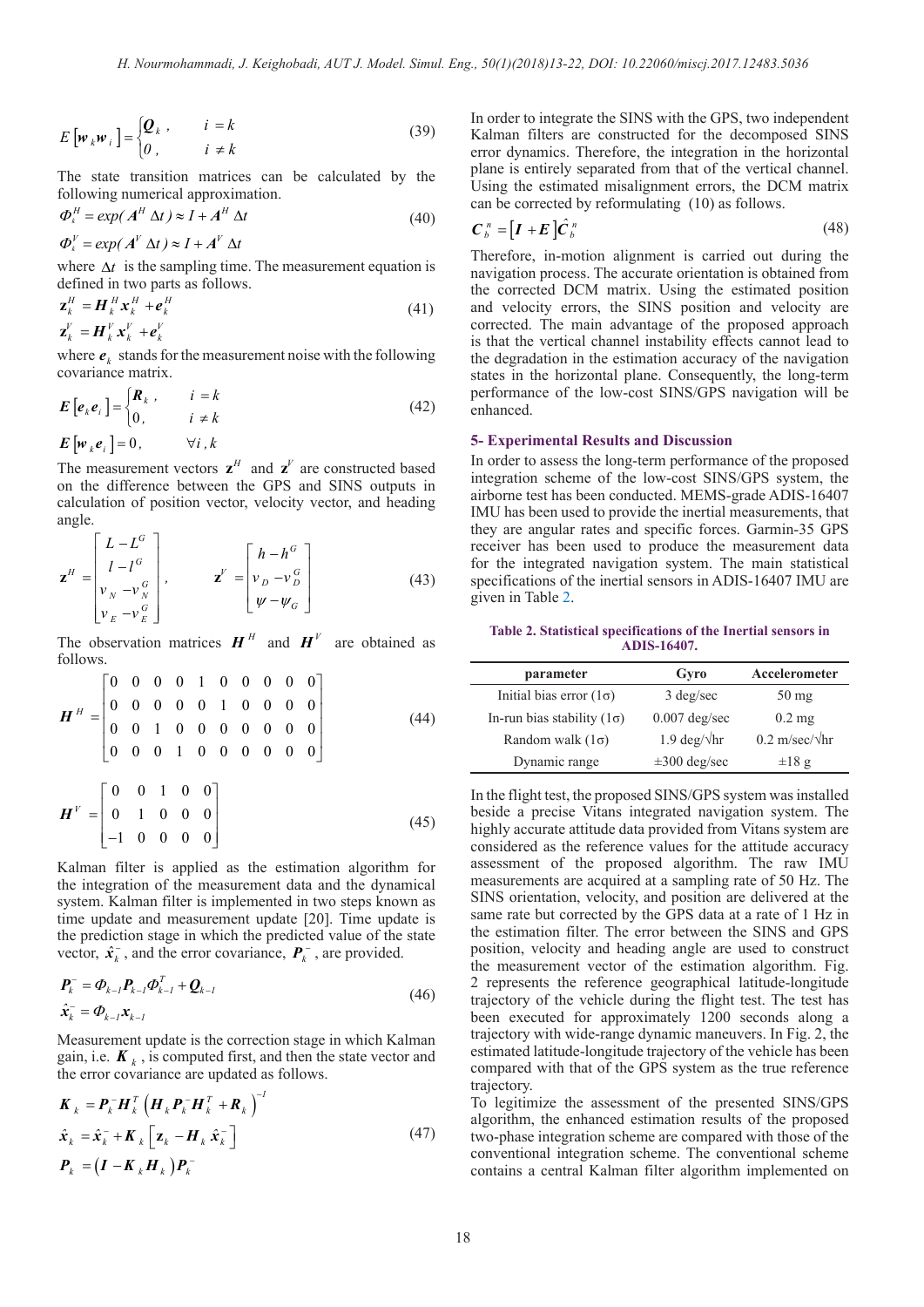$$
E\left[\boldsymbol{w}_k \boldsymbol{w}_i\right] = \begin{cases} \boldsymbol{Q}_k, & i = k \\ 0, & i \neq k \end{cases} \tag{39}
$$

The state transition matrices can be calculated by the following numerical approximation.

$$
\Phi_k^H = \exp(A^H \Delta t) \approx I + A^H \Delta t
$$
\n
$$
\Phi_k^V = \exp(A^V \Delta t) \approx I + A^V \Delta t
$$
\n(40)

where 
$$
\Delta t
$$
 is the sampling time. The measurement equation is

defined in two parts as follows.  $\mathbf{z}_k^H = \mathbf{H}_k^H \mathbf{x}_k^H + \mathbf{e}_k^H$ (41)

$$
\mathbf{z}_k^V = \mathbf{H}_k^V \mathbf{x}_k^V + \mathbf{e}_k^V
$$

where  $e_k$  stands for the measurement noise with the following covariance matrix.

$$
E[e_k e_i] = \begin{cases} R_k, & i = k \\ 0, & i \neq k \end{cases}
$$
  
\n
$$
E[w_k e_i] = 0, \qquad \forall i, k
$$
 (42)

The measurement vectors  $z^H$  and  $z^V$  are constructed based on the difference between the GPS and SINS outputs in calculation of position vector, velocity vector, and heading angle.

$$
\mathbf{z}^{H} = \begin{bmatrix} L - L^{G} \\ l - l^{G} \\ v_{N} - v_{N}^{G} \\ v_{E} - v_{E}^{G} \end{bmatrix}, \qquad \mathbf{z}^{V} = \begin{bmatrix} h - h^{G} \\ v_{D} - v_{D}^{G} \\ \psi - \psi_{G} \end{bmatrix}
$$
(43)

The observation matrices  $H^H$  and  $H^V$  are obtained as follows.

$$
\boldsymbol{H}^H = \begin{bmatrix} 0 & 0 & 0 & 0 & 1 & 0 & 0 & 0 & 0 & 0 \\ 0 & 0 & 0 & 0 & 0 & 1 & 0 & 0 & 0 & 0 \\ 0 & 0 & 1 & 0 & 0 & 0 & 0 & 0 & 0 & 0 \\ 0 & 0 & 0 & 1 & 0 & 0 & 0 & 0 & 0 & 0 \end{bmatrix}
$$
(44)

$$
\boldsymbol{H}^{V} = \begin{bmatrix} 0 & 0 & 1 & 0 & 0 \\ 0 & 1 & 0 & 0 & 0 \\ -1 & 0 & 0 & 0 & 0 \end{bmatrix}
$$
 (45)

Kalman filter is applied as the estimation algorithm for the integration of the measurement data and the dynamical system. Kalman filter is implemented in two steps known as time update and measurement update [20]. Time update is the prediction stage in which the predicted value of the state vector,  $\hat{\mathbf{x}}_k^-$ , and the error covariance,  $\mathbf{P}_k^-$ , are provided.

$$
\begin{aligned} \mathbf{P}_k^- &= \mathbf{\Phi}_{k-1} \mathbf{P}_{k-1} \mathbf{\Phi}_{k-1}^T + \mathbf{\mathbf{Q}}_{k-1} \\ \hat{\mathbf{x}}_k^- &= \mathbf{\Phi}_{k-1} \mathbf{x}_{k-1} \end{aligned} \tag{46}
$$

Measurement update is the correction stage in which Kalman gain, i.e.  $\boldsymbol{K}_k$ , is computed first, and then the state vector and the error covariance are updated as follows.

$$
\boldsymbol{K}_{k} = \boldsymbol{P}_{k}^{-} \boldsymbol{H}_{k}^{T} \left( \boldsymbol{H}_{k} \boldsymbol{P}_{k}^{-} \boldsymbol{H}_{k}^{T} + \boldsymbol{R}_{k} \right)^{-1}
$$
\n
$$
\hat{\boldsymbol{x}}_{k} = \hat{\boldsymbol{x}}_{k}^{-} + \boldsymbol{K}_{k} \left[ \boldsymbol{z}_{k} - \boldsymbol{H}_{k} \hat{\boldsymbol{x}}_{k}^{-} \right]
$$
\n
$$
\boldsymbol{P}_{k} = \left( \boldsymbol{I} - \boldsymbol{K}_{k} \boldsymbol{H}_{k} \right) \boldsymbol{P}_{k}^{-}
$$
\n(47)

In order to integrate the SINS with the GPS, two independent Kalman filters are constructed for the decomposed SINS error dynamics. Therefore, the integration in the horizontal plane is entirely separated from that of the vertical channel. Using the estimated misalignment errors, the DCM matrix can be corrected by reformulating (10) as follows.

$$
\boldsymbol{C}_{b}^{n} = [\boldsymbol{I} + \boldsymbol{E}]\hat{\boldsymbol{C}}_{b}^{n} \tag{48}
$$

Therefore, in-motion alignment is carried out during the navigation process. The accurate orientation is obtained from the corrected DCM matrix. Using the estimated position and velocity errors, the SINS position and velocity are corrected. The main advantage of the proposed approach is that the vertical channel instability effects cannot lead to the degradation in the estimation accuracy of the navigation states in the horizontal plane. Consequently, the long-term performance of the low-cost SINS/GPS navigation will be enhanced.

## **5- Experimental Results and Discussion**

In order to assess the long-term performance of the proposed integration scheme of the low-cost SINS/GPS system, the airborne test has been conducted. MEMS-grade ADIS-16407 IMU has been used to provide the inertial measurements, that they are angular rates and specific forces. Garmin-35 GPS receiver has been used to produce the measurement data for the integrated navigation system. The main statistical specifications of the inertial sensors in ADIS-16407 IMU are given in Table 2.

#### **Table 2. Statistical specifications of the Inertial sensors in ADIS-16407.**

| parameter                         | Gyro                      | Accelerometer                        |
|-----------------------------------|---------------------------|--------------------------------------|
| Initial bias error $(1\sigma)$    | $3 \text{ deg/sec}$       | $50 \text{ mg}$                      |
| In-run bias stability $(1\sigma)$ | $0.007$ deg/sec           | $0.2 \text{ mg}$                     |
| Random walk $(1\sigma)$           | 1.9 deg/ $\sqrt{hr}$      | $0.2 \text{ m/sec/}\sqrt{\text{hr}}$ |
| Dynamic range                     | $\pm 300 \text{ deg/sec}$ | $\pm 18$ g                           |

In the flight test, the proposed SINS/GPS system was installed beside a precise Vitans integrated navigation system. The highly accurate attitude data provided from Vitans system are considered as the reference values for the attitude accuracy assessment of the proposed algorithm. The raw IMU measurements are acquired at a sampling rate of 50 Hz. The SINS orientation, velocity, and position are delivered at the same rate but corrected by the GPS data at a rate of 1 Hz in the estimation filter. The error between the SINS and GPS position, velocity and heading angle are used to construct the measurement vector of the estimation algorithm. Fig. 2 represents the reference geographical latitude-longitude trajectory of the vehicle during the flight test. The test has been executed for approximately 1200 seconds along a trajectory with wide-range dynamic maneuvers. In Fig. 2, the estimated latitude-longitude trajectory of the vehicle has been compared with that of the GPS system as the true reference trajectory.

To legitimize the assessment of the presented SINS/GPS algorithm, the enhanced estimation results of the proposed two-phase integration scheme are compared with those of the conventional integration scheme. The conventional scheme contains a central Kalman filter algorithm implemented on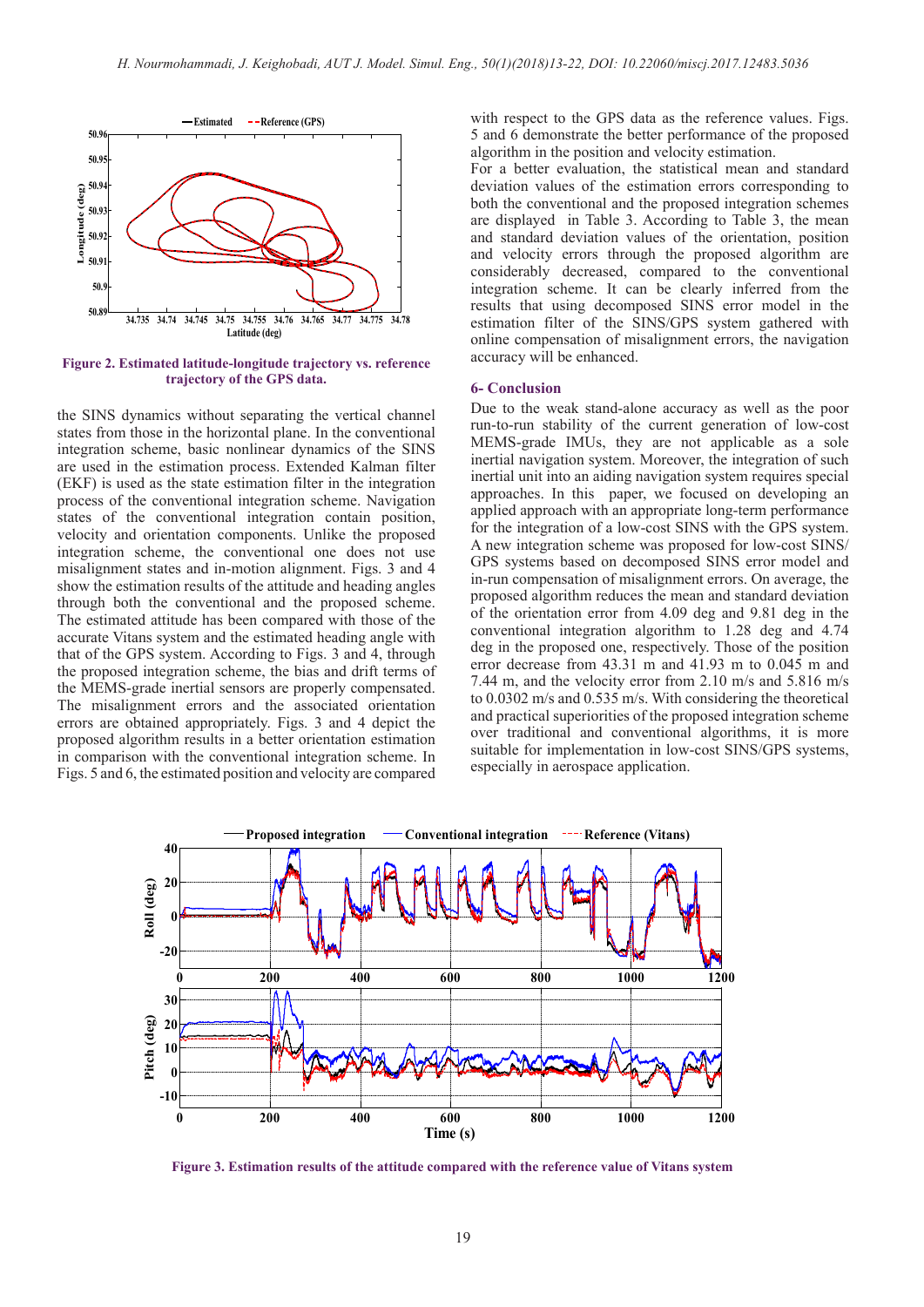

**Figure 2. Estimated latitude-longitude trajectory vs. reference trajectory of the GPS data.**

the SINS dynamics without separating the vertical channel states from those in the horizontal plane. In the conventional integration scheme, basic nonlinear dynamics of the SINS are used in the estimation process. Extended Kalman filter (EKF) is used as the state estimation filter in the integration process of the conventional integration scheme. Navigation states of the conventional integration contain position, velocity and orientation components. Unlike the proposed integration scheme, the conventional one does not use misalignment states and in-motion alignment. Figs. 3 and 4 show the estimation results of the attitude and heading angles through both the conventional and the proposed scheme. The estimated attitude has been compared with those of the accurate Vitans system and the estimated heading angle with that of the GPS system. According to Figs. 3 and 4, through the proposed integration scheme, the bias and drift terms of the MEMS-grade inertial sensors are properly compensated. The misalignment errors and the associated orientation errors are obtained appropriately. Figs. 3 and 4 depict the proposed algorithm results in a better orientation estimation in comparison with the conventional integration scheme. In Figs. 5 and 6, the estimated position and velocity are compared with respect to the GPS data as the reference values. Figs. 5 and 6 demonstrate the better performance of the proposed algorithm in the position and velocity estimation.

For a better evaluation, the statistical mean and standard deviation values of the estimation errors corresponding to both the conventional and the proposed integration schemes are displayed in Table 3. According to Table 3, the mean and standard deviation values of the orientation, position and velocity errors through the proposed algorithm are considerably decreased, compared to the conventional integration scheme. It can be clearly inferred from the results that using decomposed SINS error model in the estimation filter of the SINS/GPS system gathered with online compensation of misalignment errors, the navigation accuracy will be enhanced.

#### **6- Conclusion**

Due to the weak stand-alone accuracy as well as the poor run-to-run stability of the current generation of low-cost MEMS-grade IMUs, they are not applicable as a sole inertial navigation system. Moreover, the integration of such inertial unit into an aiding navigation system requires special approaches. In this paper, we focused on developing an applied approach with an appropriate long-term performance for the integration of a low-cost SINS with the GPS system. A new integration scheme was proposed for low-cost SINS/ GPS systems based on decomposed SINS error model and in-run compensation of misalignment errors. On average, the proposed algorithm reduces the mean and standard deviation of the orientation error from 4.09 deg and 9.81 deg in the conventional integration algorithm to 1.28 deg and 4.74 deg in the proposed one, respectively. Those of the position error decrease from 43.31 m and 41.93 m to 0.045 m and 7.44 m, and the velocity error from 2.10 m/s and 5.816 m/s to 0.0302 m/s and 0.535 m/s. With considering the theoretical and practical superiorities of the proposed integration scheme over traditional and conventional algorithms, it is more suitable for implementation in low-cost SINS/GPS systems, especially in aerospace application.



**Figure 3. Estimation results of the attitude compared with the reference value of Vitans system**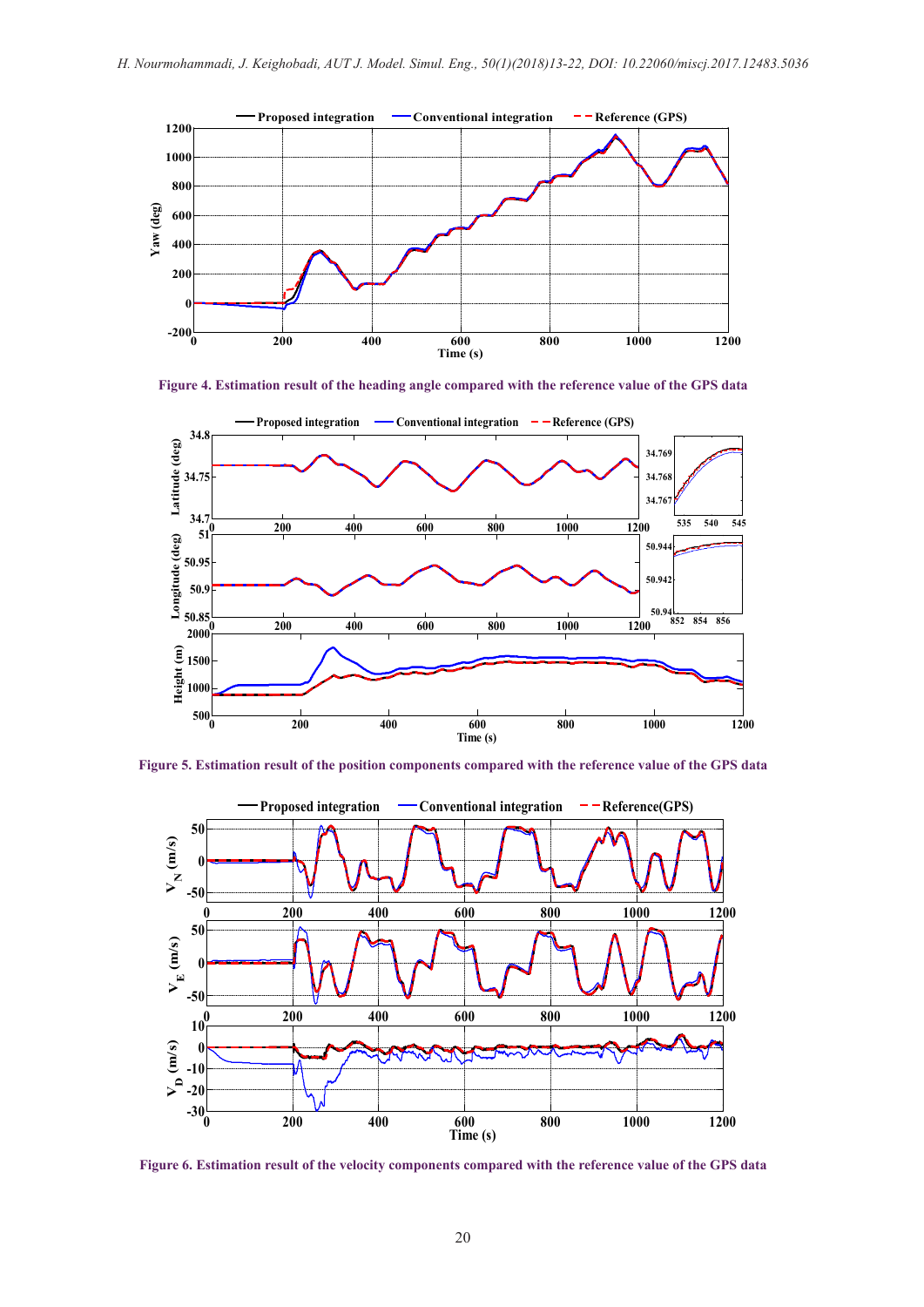

**Figure 4. Estimation result of the heading angle compared with the reference value of the GPS data**



**Figure 5. Estimation result of the position components compared with the reference value of the GPS data**



**Figure 6. Estimation result of the velocity components compared with the reference value of the GPS data**